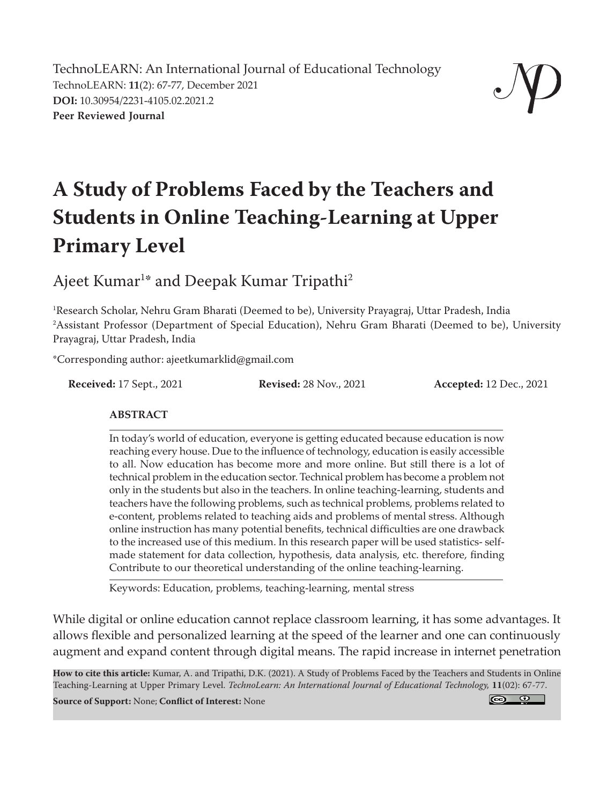TechnoLEARN: An International Journal of Educational Technology TechnoLEARN: **11**(2): 67-77, December 2021 **DOI:** 10.30954/2231-4105.02.2021.2 **Peer Reviewed Journal**



# **A Study of Problems Faced by the Teachers and Students in Online Teaching-Learning at Upper Primary Level**

Ajeet Kumar<sup>1</sup>\* and Deepak Kumar Tripathi<sup>2</sup>

1 Research Scholar, Nehru Gram Bharati (Deemed to be), University Prayagraj, Uttar Pradesh, India 2 Assistant Professor (Department of Special Education), Nehru Gram Bharati (Deemed to be), University Prayagraj, Uttar Pradesh, India

\*Corresponding author: ajeetkumarklid@gmail.com

**Received:** 17 Sept., 2021 **Revised:** 28 Nov., 2021 **Accepted:** 12 Dec., 2021

#### **ABSTRACT**

In today's world of education, everyone is getting educated because education is now reaching every house. Due to the influence of technology, education is easily accessible to all. Now education has become more and more online. But still there is a lot of technical problem in the education sector. Technical problem has become a problem not only in the students but also in the teachers. In online teaching-learning, students and teachers have the following problems, such as technical problems, problems related to e-content, problems related to teaching aids and problems of mental stress. Although online instruction has many potential benefits, technical difficulties are one drawback to the increased use of this medium. In this research paper will be used statistics- selfmade statement for data collection, hypothesis, data analysis, etc. therefore, finding Contribute to our theoretical understanding of the online teaching-learning.

Keywords: Education, problems, teaching-learning, mental stress

While digital or online education cannot replace classroom learning, it has some advantages. It allows flexible and personalized learning at the speed of the learner and one can continuously augment and expand content through digital means. The rapid increase in internet penetration

**How to cite this article:** Kumar, A. and Tripathi, D.K. (2021). A Study of Problems Faced by the Teachers and Students in Online Teaching-Learning at Upper Primary Level. *TechnoLearn: An International Journal of Educational Technology,* **11**(02): 67-77.

**Source of Support:** None; **Conflict of Interest:** None

 $\circ$   $\circ$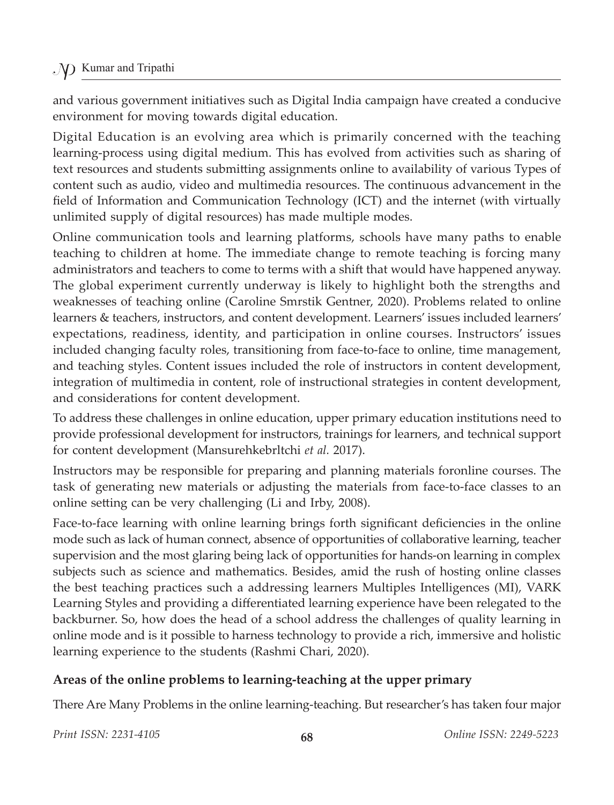and various government initiatives such as Digital India campaign have created a conducive environment for moving towards digital education.

Digital Education is an evolving area which is primarily concerned with the teaching learning-process using digital medium. This has evolved from activities such as sharing of text resources and students submitting assignments online to availability of various Types of content such as audio, video and multimedia resources. The continuous advancement in the field of Information and Communication Technology (ICT) and the internet (with virtually unlimited supply of digital resources) has made multiple modes.

Online communication tools and learning platforms, schools have many paths to enable teaching to children at home. The immediate change to remote teaching is forcing many administrators and teachers to come to terms with a shift that would have happened anyway. The global experiment currently underway is likely to highlight both the strengths and weaknesses of teaching online (Caroline Smrstik Gentner, 2020). Problems related to online learners & teachers, instructors, and content development. Learners' issues included learners' expectations, readiness, identity, and participation in online courses. Instructors' issues included changing faculty roles, transitioning from face-to-face to online, time management, and teaching styles. Content issues included the role of instructors in content development, integration of multimedia in content, role of instructional strategies in content development, and considerations for content development.

To address these challenges in online education, upper primary education institutions need to provide professional development for instructors, trainings for learners, and technical support for content development (Mansurehkebrltchi *et al.* 2017).

Instructors may be responsible for preparing and planning materials foronline courses. The task of generating new materials or adjusting the materials from face-to-face classes to an online setting can be very challenging (Li and Irby, 2008).

Face-to-face learning with online learning brings forth significant deficiencies in the online mode such as lack of human connect, absence of opportunities of collaborative learning, teacher supervision and the most glaring being lack of opportunities for hands-on learning in complex subjects such as science and mathematics. Besides, amid the rush of hosting online classes the best teaching practices such a addressing learners Multiples Intelligences (MI), VARK Learning Styles and providing a differentiated learning experience have been relegated to the backburner. So, how does the head of a school address the challenges of quality learning in online mode and is it possible to harness technology to provide a rich, immersive and holistic learning experience to the students (Rashmi Chari, 2020).

# **Areas of the online problems to learning-teaching at the upper primary**

There Are Many Problems in the online learning-teaching. But researcher's has taken four major

*Print ISSN: 2231-4105* **68** *Online ISSN: 2249-5223*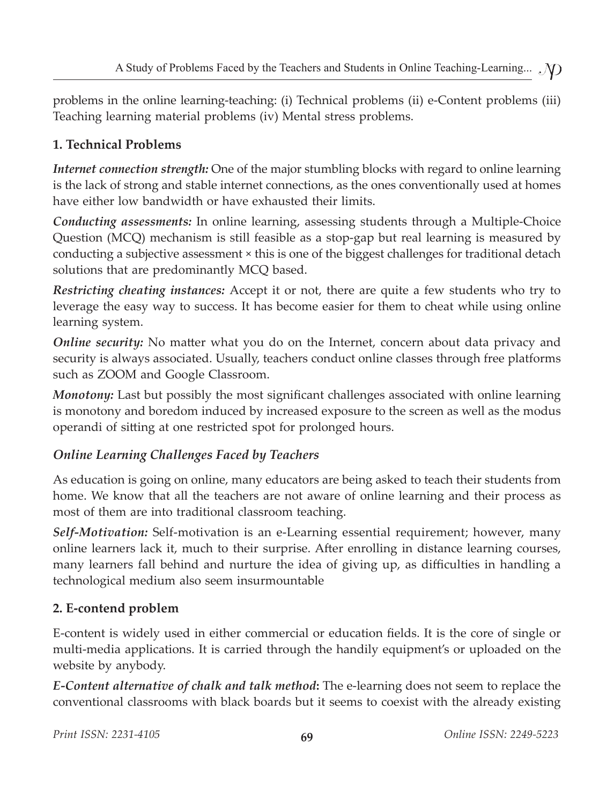problems in the online learning-teaching: (i) Technical problems (ii) e-Content problems (iii) Teaching learning material problems (iv) Mental stress problems.

# **1. Technical Problems**

*Internet connection strength:* One of the major stumbling blocks with regard to online learning is the lack of strong and stable internet connections, as the ones conventionally used at homes have either low bandwidth or have exhausted their limits.

*Conducting assessments:* In online learning, assessing students through a Multiple-Choice Question (MCQ) mechanism is still feasible as a stop-gap but real learning is measured by conducting a subjective assessment × this is one of the biggest challenges for traditional detach solutions that are predominantly MCQ based.

*Restricting cheating instances:* Accept it or not, there are quite a few students who try to leverage the easy way to success. It has become easier for them to cheat while using online learning system.

*Online security:* No matter what you do on the Internet, concern about data privacy and security is always associated. Usually, teachers conduct online classes through free platforms such as ZOOM and Google Classroom.

*Monotony:* Last but possibly the most significant challenges associated with online learning is monotony and boredom induced by increased exposure to the screen as well as the modus operandi of sitting at one restricted spot for prolonged hours.

# *Online Learning Challenges Faced by Teachers*

As education is going on online, many educators are being asked to teach their students from home. We know that all the teachers are not aware of online learning and their process as most of them are into traditional classroom teaching.

*Self-Motivation:* Self-motivation is an e-Learning essential requirement; however, many online learners lack it, much to their surprise. After enrolling in distance learning courses, many learners fall behind and nurture the idea of giving up, as difficulties in handling a technological medium also seem insurmountable

# **2. E-contend problem**

E-content is widely used in either commercial or education fields. It is the core of single or multi-media applications. It is carried through the handily equipment's or uploaded on the website by anybody.

*E-Content alternative of chalk and talk method***:** The e-learning does not seem to replace the conventional classrooms with black boards but it seems to coexist with the already existing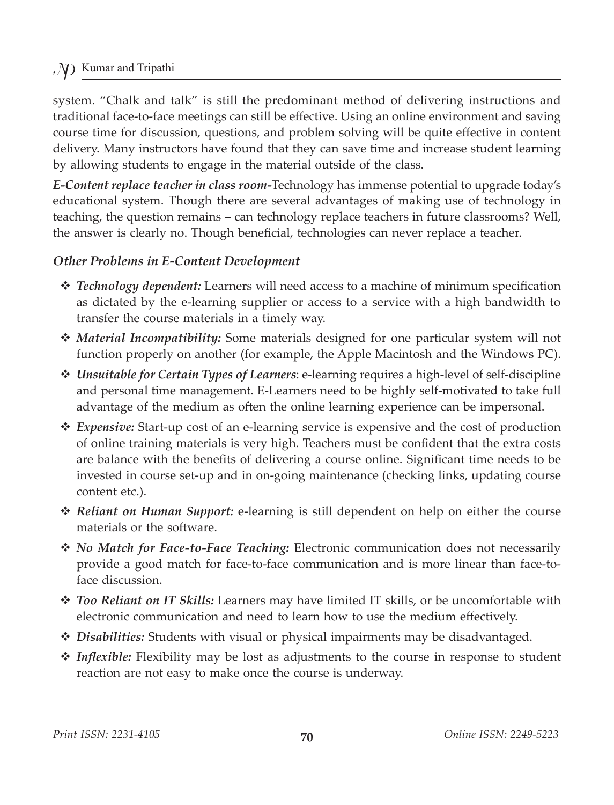system. "Chalk and talk" is still the predominant method of delivering instructions and traditional face-to-face meetings can still be effective. Using an online environment and saving course time for discussion, questions, and problem solving will be quite effective in content delivery. Many instructors have found that they can save time and increase student learning by allowing students to engage in the material outside of the class.

*E-Content replace teacher in class room-*Technology has immense potential to upgrade today's educational system. Though there are several advantages of making use of technology in teaching, the question remains – can technology replace teachers in future classrooms? Well, the answer is clearly no. Though beneficial, technologies can never replace a teacher.

#### *Other Problems in E-Content Development*

- *Technology dependent:* Learners will need access to a machine of minimum specification as dictated by the e-learning supplier or access to a service with a high bandwidth to transfer the course materials in a timely way.
- *Material Incompatibility:* Some materials designed for one particular system will not function properly on another (for example, the Apple Macintosh and the Windows PC).
- *Unsuitable for Certain Types of Learners*: e-learning requires a high-level of self-discipline and personal time management. E-Learners need to be highly self-motivated to take full advantage of the medium as often the online learning experience can be impersonal.
- *Expensive:* Start-up cost of an e-learning service is expensive and the cost of production of online training materials is very high. Teachers must be confident that the extra costs are balance with the benefits of delivering a course online. Significant time needs to be invested in course set-up and in on-going maintenance (checking links, updating course content etc.).
- *Reliant on Human Support:* e-learning is still dependent on help on either the course materials or the software.
- *No Match for Face-to-Face Teaching:* Electronic communication does not necessarily provide a good match for face-to-face communication and is more linear than face-toface discussion.
- *Too Reliant on IT Skills:* Learners may have limited IT skills, or be uncomfortable with electronic communication and need to learn how to use the medium effectively.
- *Disabilities:* Students with visual or physical impairments may be disadvantaged.
- *Inflexible:* Flexibility may be lost as adjustments to the course in response to student reaction are not easy to make once the course is underway.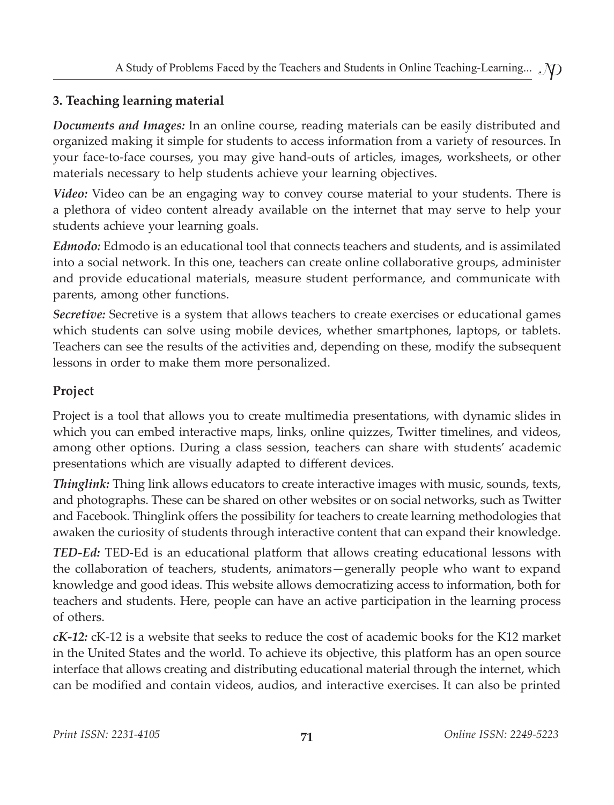# **3. Teaching learning material**

*Documents and Images:* In an online course, reading materials can be easily distributed and organized making it simple for students to access information from a variety of resources. In your face-to-face courses, you may give hand-outs of articles, images, worksheets, or other materials necessary to help students achieve your learning objectives.

*Video:* Video can be an engaging way to convey course material to your students. There is a plethora of video content already available on the internet that may serve to help your students achieve your learning goals.

*Edmodo:* Edmodo is an educational tool that connects teachers and students, and is assimilated into a social network. In this one, teachers can create online collaborative groups, administer and provide educational materials, measure student performance, and communicate with parents, among other functions.

*Secretive:* Secretive is a system that allows teachers to create exercises or educational games which students can solve using mobile devices, whether smartphones, laptops, or tablets. Teachers can see the results of the activities and, depending on these, modify the subsequent lessons in order to make them more personalized.

# **Project**

Project is a tool that allows you to create multimedia presentations, with dynamic slides in which you can embed interactive maps, links, online quizzes, Twitter timelines, and videos, among other options. During a class session, teachers can share with students' academic presentations which are visually adapted to different devices.

*Thinglink:* Thing link allows educators to create interactive images with music, sounds, texts, and photographs. These can be shared on other websites or on social networks, such as Twitter and Facebook. Thinglink offers the possibility for teachers to create learning methodologies that awaken the curiosity of students through interactive content that can expand their knowledge.

*TED-Ed:* TED-Ed is an educational platform that allows creating educational lessons with the collaboration of teachers, students, animators—generally people who want to expand knowledge and good ideas. This website allows democratizing access to information, both for teachers and students. Here, people can have an active participation in the learning process of others.

*cK-12:* cK-12 is a website that seeks to reduce the cost of academic books for the K12 market in the United States and the world. To achieve its objective, this platform has an open source interface that allows creating and distributing educational material through the internet, which can be modified and contain videos, audios, and interactive exercises. It can also be printed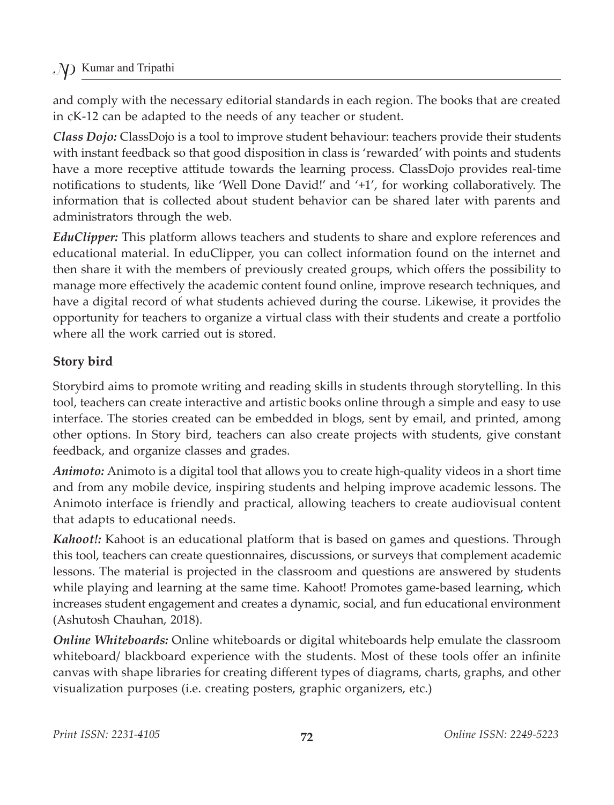and comply with the necessary editorial standards in each region. The books that are created in cK-12 can be adapted to the needs of any teacher or student.

*Class Dojo:* ClassDojo is a tool to improve student behaviour: teachers provide their students with instant feedback so that good disposition in class is 'rewarded' with points and students have a more receptive attitude towards the learning process. ClassDojo provides real-time notifications to students, like 'Well Done David!' and '+1', for working collaboratively. The information that is collected about student behavior can be shared later with parents and administrators through the web.

*EduClipper:* This platform allows teachers and students to share and explore references and educational material. In eduClipper, you can collect information found on the internet and then share it with the members of previously created groups, which offers the possibility to manage more effectively the academic content found online, improve research techniques, and have a digital record of what students achieved during the course. Likewise, it provides the opportunity for teachers to organize a virtual class with their students and create a portfolio where all the work carried out is stored.

#### **Story bird**

Storybird aims to promote writing and reading skills in students through storytelling. In this tool, teachers can create interactive and artistic books online through a simple and easy to use interface. The stories created can be embedded in blogs, sent by email, and printed, among other options. In Story bird, teachers can also create projects with students, give constant feedback, and organize classes and grades.

*Animoto:* Animoto is a digital tool that allows you to create high-quality videos in a short time and from any mobile device, inspiring students and helping improve academic lessons. The Animoto interface is friendly and practical, allowing teachers to create audiovisual content that adapts to educational needs.

*Kahoot!:* Kahoot is an educational platform that is based on games and questions. Through this tool, teachers can create questionnaires, discussions, or surveys that complement academic lessons. The material is projected in the classroom and questions are answered by students while playing and learning at the same time. Kahoot! Promotes game-based learning, which increases student engagement and creates a dynamic, social, and fun educational environment (Ashutosh Chauhan, 2018).

*Online Whiteboards:* Online whiteboards or digital whiteboards help emulate the classroom whiteboard/ blackboard experience with the students. Most of these tools offer an infinite canvas with shape libraries for creating different types of diagrams, charts, graphs, and other visualization purposes (i.e. creating posters, graphic organizers, etc.)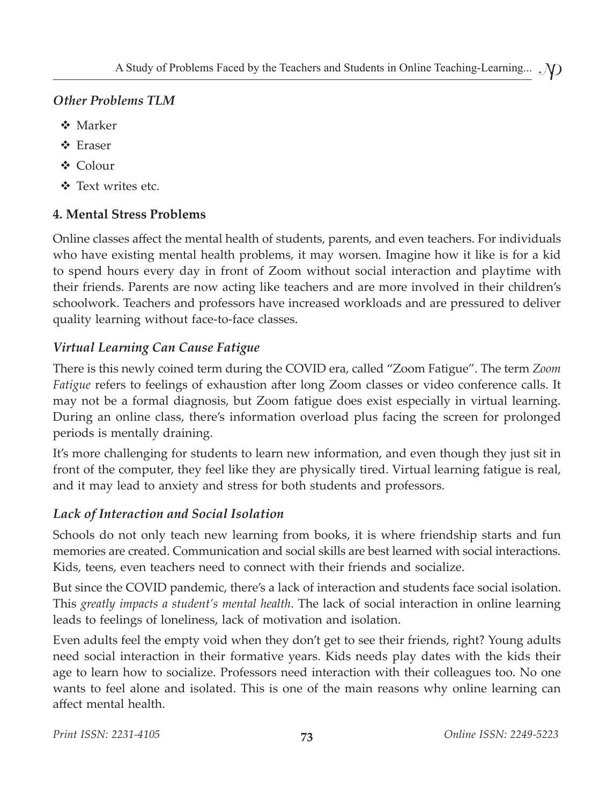#### *Other Problems TLM*

- **❖** Marker
- ❖ Eraser
- Colour
- Text writes etc.

# **4. Mental Stress Problems**

Online classes affect the mental health of students, parents, and even teachers. For individuals who have existing mental health problems, it may worsen. Imagine how it like is for a kid to spend hours every day in front of Zoom without social interaction and playtime with their friends. Parents are now acting like teachers and are more involved in their children's schoolwork. Teachers and professors have increased workloads and are pressured to deliver quality learning without face-to-face classes.

# *Virtual Learning Can Cause Fatigue*

There is this newly coined term during the COVID era, called "Zoom Fatigue". The term *Zoom Fatigue* refers to feelings of exhaustion after long Zoom classes or video conference calls. It may not be a formal diagnosis, but Zoom fatigue does exist especially in virtual learning. During an online class, there's information overload plus facing the screen for prolonged periods is mentally draining.

It's more challenging for students to learn new information, and even though they just sit in front of the computer, they feel like they are physically tired. Virtual learning fatigue is real, and it may lead to anxiety and stress for both students and professors.

# *Lack of Interaction and Social Isolation*

Schools do not only teach new learning from books, it is where friendship starts and fun memories are created. Communication and social skills are best learned with social interactions. Kids, teens, even teachers need to connect with their friends and socialize.

But since the COVID pandemic, there's a lack of interaction and students face social isolation. This *greatly impacts a student's mental health*. The lack of social interaction in online learning leads to feelings of loneliness, lack of motivation and isolation.

Even adults feel the empty void when they don't get to see their friends, right? Young adults need social interaction in their formative years. Kids needs play dates with the kids their age to learn how to socialize. Professors need interaction with their colleagues too. No one wants to feel alone and isolated. This is one of the main reasons why online learning can affect mental health.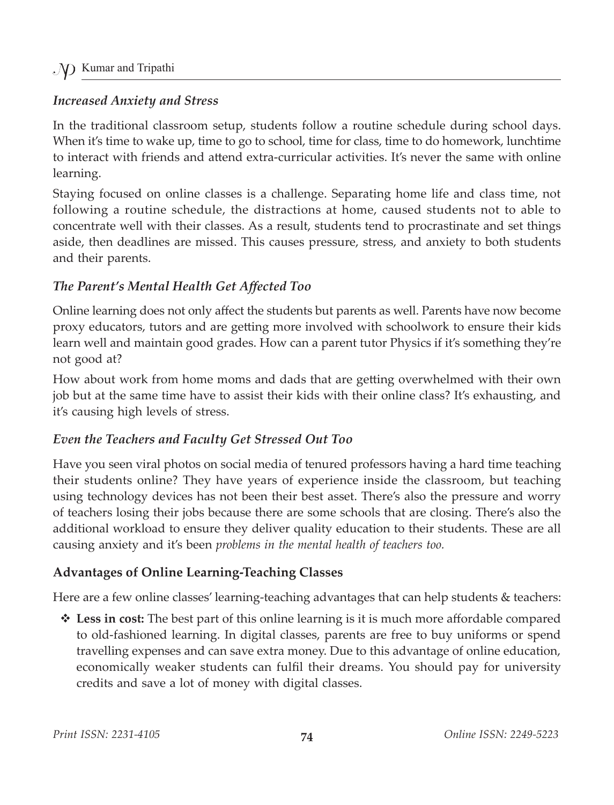#### *Increased Anxiety and Stress*

In the traditional classroom setup, students follow a routine schedule during school days. When it's time to wake up, time to go to school, time for class, time to do homework, lunchtime to interact with friends and attend extra-curricular activities. It's never the same with online learning.

Staying focused on online classes is a challenge. Separating home life and class time, not following a routine schedule, the distractions at home, caused students not to able to concentrate well with their classes. As a result, students tend to procrastinate and set things aside, then deadlines are missed. This causes pressure, stress, and anxiety to both students and their parents.

#### *The Parent's Mental Health Get Affected Too*

Online learning does not only affect the students but parents as well. Parents have now become proxy educators, tutors and are getting more involved with schoolwork to ensure their kids learn well and maintain good grades. How can a parent tutor Physics if it's something they're not good at?

How about work from home moms and dads that are getting overwhelmed with their own job but at the same time have to assist their kids with their online class? It's exhausting, and it's causing high levels of stress.

# *Even the Teachers and Faculty Get Stressed Out Too*

Have you seen viral photos on social media of tenured professors having a hard time teaching their students online? They have years of experience inside the classroom, but teaching using technology devices has not been their best asset. There's also the pressure and worry of teachers losing their jobs because there are some schools that are closing. There's also the additional workload to ensure they deliver quality education to their students. These are all causing anxiety and it's been *problems in the mental health of teachers too.*

# **Advantages of Online Learning-Teaching Classes**

Here are a few online classes' learning-teaching advantages that can help students & teachers:

 $\triangle$  **Less in cost:** The best part of this online learning is it is much more affordable compared to old-fashioned learning. In digital classes, parents are free to buy uniforms or spend travelling expenses and can save extra money. Due to this advantage of online education, economically weaker students can fulfil their dreams. You should pay for university credits and save a lot of money with digital classes.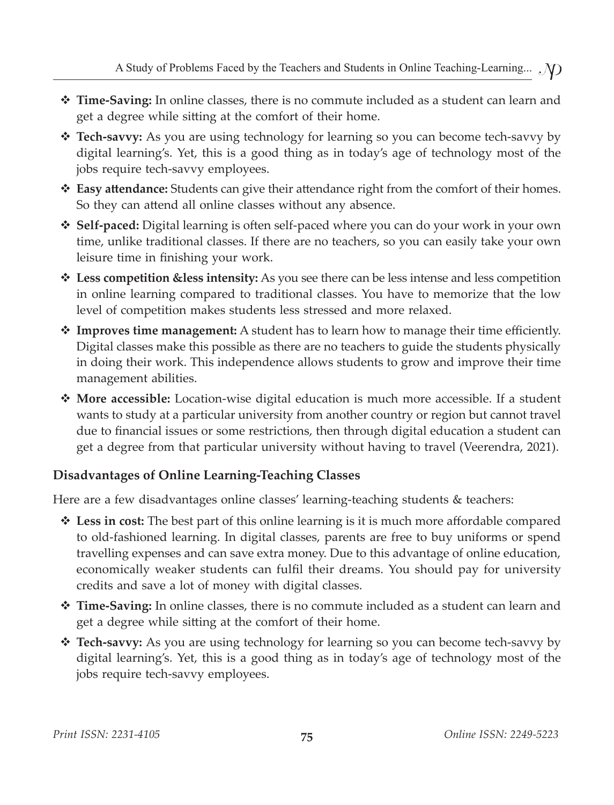- **Time-Saving:** In online classes, there is no commute included as a student can learn and get a degree while sitting at the comfort of their home.
- **Tech-savvy:** As you are using technology for learning so you can become tech-savvy by digital learning's. Yet, this is a good thing as in today's age of technology most of the jobs require tech-savvy employees.
- **Easy attendance:** Students can give their attendance right from the comfort of their homes. So they can attend all online classes without any absence.
- **Self-paced:** Digital learning is often self-paced where you can do your work in your own time, unlike traditional classes. If there are no teachers, so you can easily take your own leisure time in finishing your work.
- **Less competition &less intensity:** As you see there can be less intense and less competition in online learning compared to traditional classes. You have to memorize that the low level of competition makes students less stressed and more relaxed.
- **Improves time management:** A student has to learn how to manage their time efficiently. Digital classes make this possible as there are no teachers to guide the students physically in doing their work. This independence allows students to grow and improve their time management abilities.
- **More accessible:** Location-wise digital education is much more accessible. If a student wants to study at a particular university from another country or region but cannot travel due to financial issues or some restrictions, then through digital education a student can get a degree from that particular university without having to travel (Veerendra, 2021).

#### **Disadvantages of Online Learning-Teaching Classes**

Here are a few disadvantages online classes' learning-teaching students & teachers:

- **Less in cost:** The best part of this online learning is it is much more affordable compared to old-fashioned learning. In digital classes, parents are free to buy uniforms or spend travelling expenses and can save extra money. Due to this advantage of online education, economically weaker students can fulfil their dreams. You should pay for university credits and save a lot of money with digital classes.
- **Time-Saving:** In online classes, there is no commute included as a student can learn and get a degree while sitting at the comfort of their home.
- **Tech-savvy:** As you are using technology for learning so you can become tech-savvy by digital learning's. Yet, this is a good thing as in today's age of technology most of the jobs require tech-savvy employees.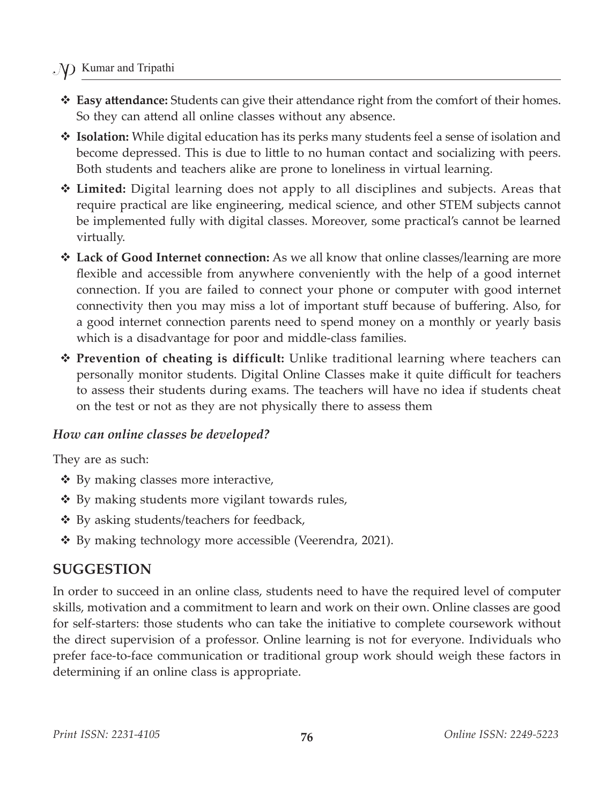#### . V Kumar and Tripathi

- **Easy attendance:** Students can give their attendance right from the comfort of their homes. So they can attend all online classes without any absence.
- **Isolation:** While digital education has its perks many students feel a sense of isolation and become depressed. This is due to little to no human contact and socializing with peers. Both students and teachers alike are prone to loneliness in virtual learning.
- **Limited:** Digital learning does not apply to all disciplines and subjects. Areas that require practical are like engineering, medical science, and other STEM subjects cannot be implemented fully with digital classes. Moreover, some practical's cannot be learned virtually.
- **Lack of Good Internet connection:** As we all know that online classes/learning are more flexible and accessible from anywhere conveniently with the help of a good internet connection. If you are failed to connect your phone or computer with good internet connectivity then you may miss a lot of important stuff because of buffering. Also, for a good internet connection parents need to spend money on a monthly or yearly basis which is a disadvantage for poor and middle-class families.
- **Prevention of cheating is difficult:** Unlike traditional learning where teachers can personally monitor students. Digital Online Classes make it quite difficult for teachers to assess their students during exams. The teachers will have no idea if students cheat on the test or not as they are not physically there to assess them

#### *How can online classes be developed?*

They are as such:

- $\triangleleft$  By making classes more interactive,
- By making students more vigilant towards rules,
- By asking students/teachers for feedback,
- By making technology more accessible (Veerendra, 2021).

#### **SUGGESTION**

In order to succeed in an online class, students need to have the required level of computer skills, motivation and a commitment to learn and work on their own. Online classes are good for self-starters: those students who can take the initiative to complete coursework without the direct supervision of a professor. Online learning is not for everyone. Individuals who prefer face-to-face communication or traditional group work should weigh these factors in determining if an online class is appropriate.